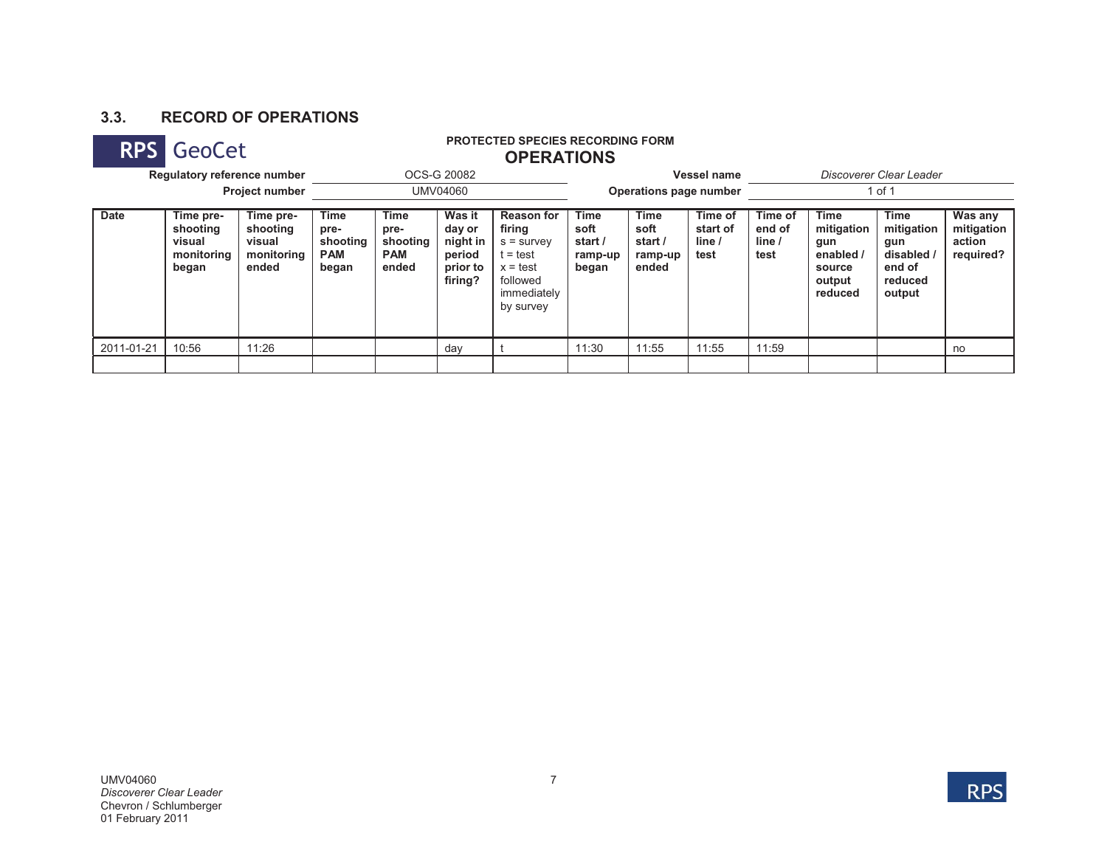# **3.3. RECORD OF OPERATIONS**

### **RPS GeoCet PROTECTED SPECIES RECORDING FORM PROTECTED SPECIES RECORDING FORM OPERATIONS**

| Regulatory reference number<br><b>Project number</b> |                                                        |                                                        |                                                 |                                                 | OCS-G 20082                                                   |                                                                                                                 |                                                    |                                                    | Vessel name                           | Discoverer Clear Leader             |                                                                              |                                                                        |                                              |  |
|------------------------------------------------------|--------------------------------------------------------|--------------------------------------------------------|-------------------------------------------------|-------------------------------------------------|---------------------------------------------------------------|-----------------------------------------------------------------------------------------------------------------|----------------------------------------------------|----------------------------------------------------|---------------------------------------|-------------------------------------|------------------------------------------------------------------------------|------------------------------------------------------------------------|----------------------------------------------|--|
|                                                      |                                                        |                                                        | UMV04060                                        |                                                 |                                                               |                                                                                                                 | Operations page number                             |                                                    |                                       | 1 of 1                              |                                                                              |                                                                        |                                              |  |
| <b>Date</b>                                          | Time pre-<br>shooting<br>visual<br>monitoring<br>began | Time pre-<br>shooting<br>visual<br>monitoring<br>ended | Time<br>pre-<br>shooting<br><b>PAM</b><br>began | Time<br>pre-<br>shooting<br><b>PAM</b><br>ended | Was it<br>day or<br>night in<br>period<br>prior to<br>firing? | <b>Reason for</b><br>firing<br>$s =$ survev<br>$t = test$<br>$x = test$<br>followed<br>immediately<br>by survey | <b>Time</b><br>soft<br>start /<br>ramp-up<br>began | <b>Time</b><br>soft<br>start /<br>ramp-up<br>ended | Time of<br>start of<br>line /<br>test | Time of<br>end of<br>line /<br>test | <b>Time</b><br>mitigation<br>gun<br>enabled /<br>source<br>output<br>reduced | Time<br>mitigation<br>gun<br>disabled /<br>end of<br>reduced<br>output | Was any<br>mitigation<br>action<br>required? |  |
| 2011-01-21                                           | 10:56                                                  | 11:26                                                  |                                                 |                                                 | day                                                           |                                                                                                                 | 11:30                                              | 11:55                                              | 11:55                                 | 11:59                               |                                                                              |                                                                        | no                                           |  |
|                                                      |                                                        |                                                        |                                                 |                                                 |                                                               |                                                                                                                 |                                                    |                                                    |                                       |                                     |                                                                              |                                                                        |                                              |  |